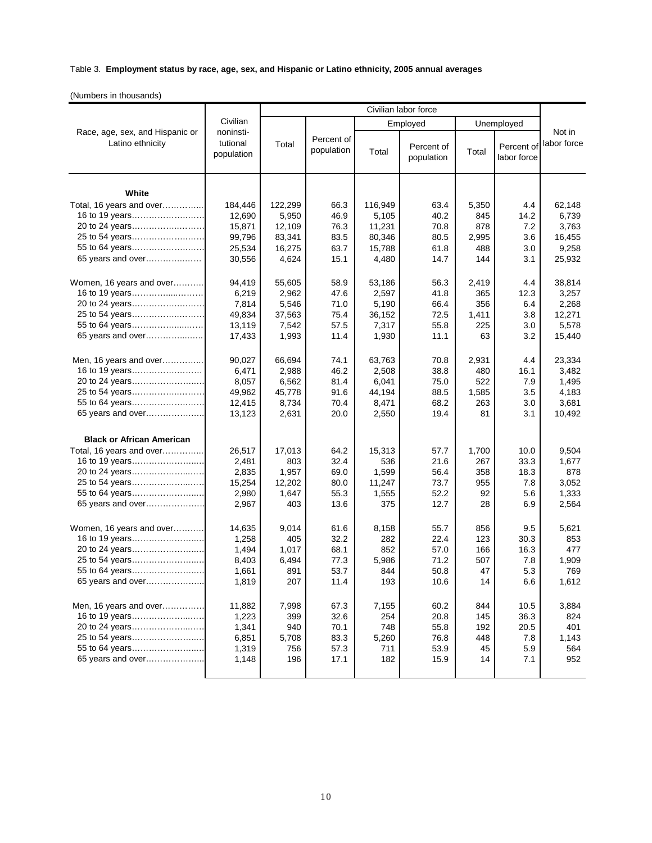## Table 3. **Employment status by race, age, sex, and Hispanic or Latino ethnicity, 2005 annual averages**

(Numbers in thousands)

|                                                     | Civilian<br>noninsti-<br>tutional<br>population | Civilian labor force |                          |          |                          |            |                           |                       |
|-----------------------------------------------------|-------------------------------------------------|----------------------|--------------------------|----------|--------------------------|------------|---------------------------|-----------------------|
| Race, age, sex, and Hispanic or<br>Latino ethnicity |                                                 |                      |                          | Employed |                          | Unemployed |                           |                       |
|                                                     |                                                 | Total                | Percent of<br>population | Total    | Percent of<br>population | Total      | Percent of<br>labor force | Not in<br>labor force |
| White                                               |                                                 |                      |                          |          |                          |            |                           |                       |
| Total, 16 years and over                            | 184,446                                         | 122,299              | 66.3                     | 116,949  | 63.4                     | 5,350      | 4.4                       | 62,148                |
| 16 to 19 years                                      | 12,690                                          | 5,950                | 46.9                     | 5,105    | 40.2                     | 845        | 14.2                      | 6,739                 |
| 20 to 24 years                                      | 15,871                                          | 12,109               | 76.3                     | 11,231   | 70.8                     | 878        | 7.2                       | 3,763                 |
| 25 to 54 years                                      | 99,796                                          | 83,341               | 83.5                     | 80,346   | 80.5                     | 2,995      | 3.6                       | 16,455                |
| 55 to 64 years                                      | 25,534                                          | 16,275               | 63.7                     | 15,788   | 61.8                     | 488        | 3.0                       | 9,258                 |
| 65 years and over                                   | 30,556                                          | 4,624                | 15.1                     | 4,480    | 14.7                     | 144        | 3.1                       | 25,932                |
| Women, 16 years and over                            | 94,419                                          | 55,605               | 58.9                     | 53,186   | 56.3                     | 2,419      | 4.4                       | 38,814                |
| 16 to 19 years                                      | 6,219                                           | 2,962                | 47.6                     | 2,597    | 41.8                     | 365        | 12.3                      | 3,257                 |
| 20 to 24 years                                      | 7,814                                           | 5,546                | 71.0                     | 5,190    | 66.4                     | 356        | 6.4                       | 2,268                 |
| 25 to 54 years                                      | 49,834                                          | 37,563               | 75.4                     | 36,152   | 72.5                     | 1,411      | 3.8                       | 12,271                |
| 55 to 64 years                                      | 13,119                                          | 7,542                | 57.5                     | 7,317    | 55.8                     | 225        | 3.0                       | 5,578                 |
| 65 years and over                                   | 17,433                                          | 1,993                | 11.4                     | 1,930    | 11.1                     | 63         | 3.2                       | 15,440                |
| Men, 16 years and over                              | 90,027                                          | 66,694               | 74.1                     | 63,763   | 70.8                     | 2,931      | 4.4                       | 23,334                |
| 16 to 19 years                                      | 6,471                                           | 2,988                | 46.2                     | 2,508    | 38.8                     | 480        | 16.1                      | 3,482                 |
| 20 to 24 years                                      | 8,057                                           | 6,562                | 81.4                     | 6,041    | 75.0                     | 522        | 7.9                       | 1,495                 |
| 25 to 54 years                                      | 49,962                                          | 45,778               | 91.6                     | 44,194   | 88.5                     | 1,585      | 3.5                       | 4,183                 |
| 55 to 64 years                                      | 12,415                                          | 8,734                | 70.4                     | 8,471    | 68.2                     | 263        | 3.0                       | 3,681                 |
| 65 years and over                                   | 13,123                                          | 2,631                | 20.0                     | 2,550    | 19.4                     | 81         | 3.1                       | 10,492                |
| <b>Black or African American</b>                    |                                                 |                      |                          |          |                          |            |                           |                       |
| Total, 16 years and over                            | 26,517                                          | 17,013               | 64.2                     | 15,313   | 57.7                     | 1,700      | 10.0                      | 9,504                 |
| 16 to 19 years                                      | 2,481                                           | 803                  | 32.4                     | 536      | 21.6                     | 267        | 33.3                      | 1,677                 |
|                                                     | 2,835                                           | 1,957                | 69.0                     | 1,599    | 56.4                     | 358        | 18.3                      | 878                   |
| 25 to 54 years                                      | 15,254                                          | 12,202               | 80.0                     | 11,247   | 73.7                     | 955        | 7.8                       | 3,052                 |
| 55 to 64 years                                      | 2,980                                           | 1,647                | 55.3                     | 1,555    | 52.2                     | 92         | 5.6                       | 1,333                 |
| 65 years and over                                   | 2,967                                           | 403                  | 13.6                     | 375      | 12.7                     | 28         | 6.9                       | 2,564                 |
| Women, 16 years and over                            | 14,635                                          | 9,014                | 61.6                     | 8,158    | 55.7                     | 856        | 9.5                       | 5,621                 |
| 16 to 19 years                                      | 1,258                                           | 405                  | 32.2                     | 282      | 22.4                     | 123        | 30.3                      | 853                   |
| 20 to 24 years                                      | 1,494                                           | 1,017                | 68.1                     | 852      | 57.0                     | 166        | 16.3                      | 477                   |
| 25 to 54 years                                      | 8,403                                           | 6,494                | 77.3                     | 5,986    | 71.2                     | 507        | 7.8                       | 1,909                 |
| 55 to 64 years                                      | 1,661                                           | 891                  | 53.7                     | 844      | 50.8                     | 47         | 5.3                       | 769                   |
| 65 years and over                                   | 1,819                                           | 207                  | 11.4                     | 193      | 10.6                     | 14         | 6.6                       | 1,612                 |
| Men, 16 years and over                              | 11,882                                          | 7,998                | 67.3                     | 7,155    | 60.2                     | 844        | 10.5                      | 3,884                 |
| 16 to 19 years                                      | 1,223                                           | 399                  | 32.6                     | 254      | 20.8                     | 145        | 36.3                      | 824                   |
| 20 to 24 years                                      | 1,341                                           | 940                  | 70.1                     | 748      | 55.8                     | 192        | 20.5                      | 401                   |
| 25 to 54 years                                      | 6,851                                           | 5,708                | 83.3                     | 5,260    | 76.8                     | 448        | 7.8                       | 1,143                 |
| 55 to 64 years                                      | 1,319                                           | 756                  | 57.3                     | 711      | 53.9                     | 45         | 5.9                       | 564                   |
| 65 years and over                                   | 1,148                                           | 196                  | 17.1                     | 182      | 15.9                     | 14         | 7.1                       | 952                   |
|                                                     |                                                 |                      |                          |          |                          |            |                           |                       |